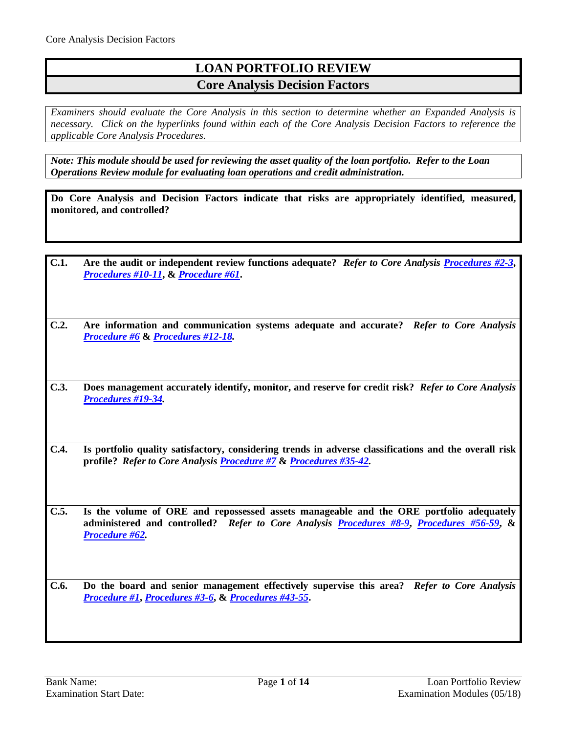# **LOAN PORTFOLIO REVIEW Core Analysis Decision Factors**

*Examiners should evaluate the Core Analysis in this section to determine whether an Expanded Analysis is necessary. Click on the hyperlinks found within each of the Core Analysis Decision Factors to reference the applicable Core Analysis Procedures.*

*Note: This module should be used for reviewing the asset quality of the loan portfolio. Refer to the Loan Operations Review module for evaluating loan operations and credit administration.*

**Do Core Analysis and Decision Factors indicate that risks are appropriately identified, measured, monitored, and controlled?**

- **C.1. Are the audit or independent review functions adequate?** *Refer to Core Analysis [Procedures #2-3](#page-1-0)***,**  *[Procedures #10-11](#page-2-0)***, &** *[Procedure #61](#page-13-0)***.**
- **C.2. Are information and communication systems adequate and accurate?** *Refer to Core Analysis [Procedure #6](#page-1-1)* **&** *[Procedures #12-18.](#page-3-0)*
- **C.3. Does management accurately identify, monitor, and reserve for credit risk?** *Refer to Core Analysis [Procedures #19-34.](#page-4-0)*
- **C.4. Is portfolio quality satisfactory, considering trends in adverse classifications and the overall risk profile?** *Refer to Core Analysis [Procedure #7](#page-2-1)* **&** *[Procedures #35-42.](#page-9-0)*

**C.5. Is the volume of ORE and repossessed assets manageable and the ORE portfolio adequately administered and controlled?** *Refer to Core Analysis [Procedures #8-9](#page-2-2)***,** *[Procedures #56-59](#page-12-0)***, &**  *[Procedure #62.](#page-13-1)*

**C.6. Do the board and senior management effectively supervise this area?** *Refer to Core Analysis [Procedure #1](#page-1-2)***,** *[Procedures #3-6](#page-1-3)***, &** *[Procedures #43-55](#page-10-0)***.**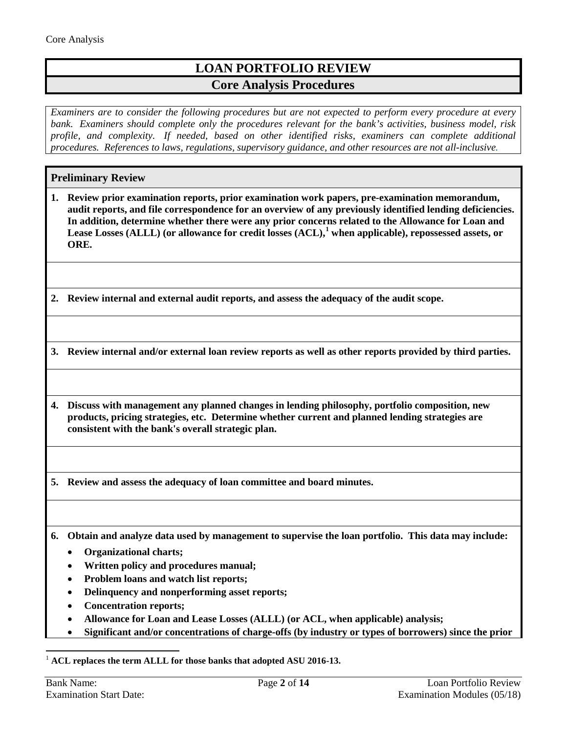# **LOAN PORTFOLIO REVIEW Core Analysis Procedures**

*Examiners are to consider the following procedures but are not expected to perform every procedure at every bank. Examiners should complete only the procedures relevant for the bank's activities, business model, risk profile, and complexity. If needed, based on other identified risks, examiners can complete additional procedures. References to laws, regulations, supervisory guidance, and other resources are not all-inclusive.*

## **Preliminary Review**

<span id="page-1-2"></span>**1. Review prior examination reports, prior examination work papers, pre-examination memorandum, audit reports, and file correspondence for an overview of any previously identified lending deficiencies. In addition, determine whether there were any prior concerns related to the Allowance for Loan and Lease Losses (ALLL) (or allowance for credit losses (ACL),[1](#page-1-4) when applicable), repossessed assets, or ORE.**

<span id="page-1-0"></span>**2. Review internal and external audit reports, and assess the adequacy of the audit scope.**

<span id="page-1-3"></span>**3. Review internal and/or external loan review reports as well as other reports provided by third parties.** 

**4. Discuss with management any planned changes in lending philosophy, portfolio composition, new products, pricing strategies, etc. Determine whether current and planned lending strategies are consistent with the bank's overall strategic plan.**

**5. Review and assess the adequacy of loan committee and board minutes.**

<span id="page-1-1"></span>**6. Obtain and analyze data used by management to supervise the loan portfolio. This data may include:**

- **Organizational charts;**
- **Written policy and procedures manual;**
- **Problem loans and watch list reports;**
- **Delinquency and nonperforming asset reports;**
- **Concentration reports;**
- **Allowance for Loan and Lease Losses (ALLL) (or ACL, when applicable) analysis;**
- **Significant and/or concentrations of charge-offs (by industry or types of borrowers) since the prior**

<span id="page-1-4"></span>1 **ACL replaces the term ALLL for those banks that adopted ASU 2016-13.**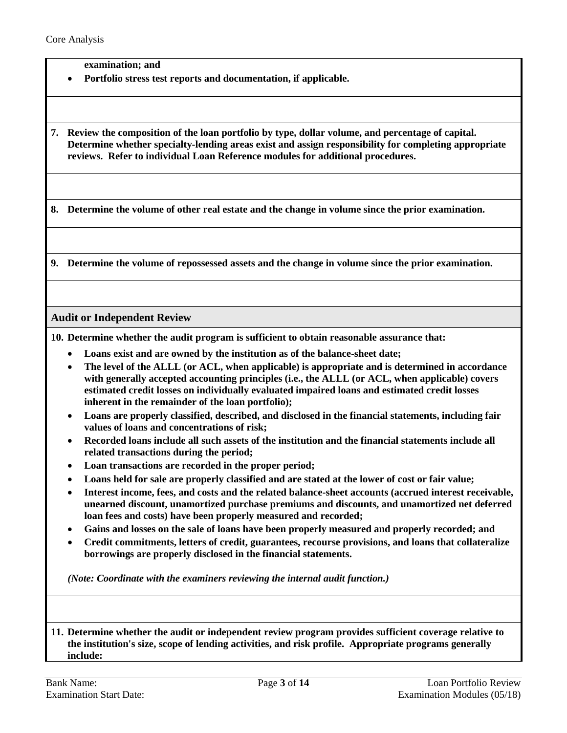**examination; and**

• **Portfolio stress test reports and documentation, if applicable.**

<span id="page-2-1"></span>**7. Review the composition of the loan portfolio by type, dollar volume, and percentage of capital. Determine whether specialty-lending areas exist and assign responsibility for completing appropriate reviews. Refer to individual Loan Reference modules for additional procedures.**

<span id="page-2-2"></span>**8. Determine the volume of other real estate and the change in volume since the prior examination.**

**9. Determine the volume of repossessed assets and the change in volume since the prior examination.**

### **Audit or Independent Review**

<span id="page-2-0"></span>**10. Determine whether the audit program is sufficient to obtain reasonable assurance that:**

- **Loans exist and are owned by the institution as of the balance-sheet date;**
- **The level of the ALLL (or ACL, when applicable) is appropriate and is determined in accordance with generally accepted accounting principles (i.e., the ALLL (or ACL, when applicable) covers estimated credit losses on individually evaluated impaired loans and estimated credit losses inherent in the remainder of the loan portfolio);**
- **Loans are properly classified, described, and disclosed in the financial statements, including fair values of loans and concentrations of risk;**
- **Recorded loans include all such assets of the institution and the financial statements include all related transactions during the period;**
- **Loan transactions are recorded in the proper period;**
- **Loans held for sale are properly classified and are stated at the lower of cost or fair value;**
- **Interest income, fees, and costs and the related balance-sheet accounts (accrued interest receivable, unearned discount, unamortized purchase premiums and discounts, and unamortized net deferred loan fees and costs) have been properly measured and recorded;**
- **Gains and losses on the sale of loans have been properly measured and properly recorded; and**
- **Credit commitments, letters of credit, guarantees, recourse provisions, and loans that collateralize borrowings are properly disclosed in the financial statements.**

*(Note: Coordinate with the examiners reviewing the internal audit function.)*

**11. Determine whether the audit or independent review program provides sufficient coverage relative to the institution's size, scope of lending activities, and risk profile. Appropriate programs generally include:**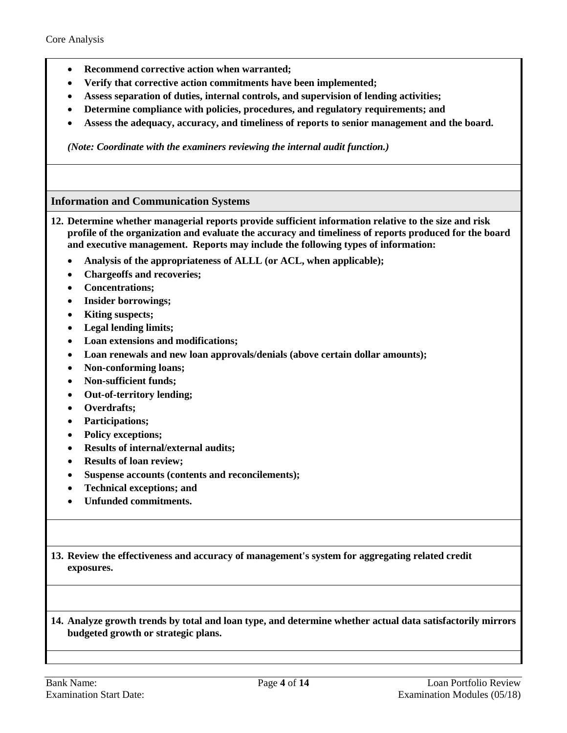- **Recommend corrective action when warranted;**
- **Verify that corrective action commitments have been implemented;**
- **Assess separation of duties, internal controls, and supervision of lending activities;**
- **Determine compliance with policies, procedures, and regulatory requirements; and**
- **Assess the adequacy, accuracy, and timeliness of reports to senior management and the board.**

*(Note: Coordinate with the examiners reviewing the internal audit function.)*

## **Information and Communication Systems**

- <span id="page-3-0"></span>**12. Determine whether managerial reports provide sufficient information relative to the size and risk profile of the organization and evaluate the accuracy and timeliness of reports produced for the board and executive management. Reports may include the following types of information:**
	- **Analysis of the appropriateness of ALLL (or ACL, when applicable);**
	- **Chargeoffs and recoveries;**
	- **Concentrations;**
	- **Insider borrowings;**
	- **Kiting suspects;**
	- **Legal lending limits;**
	- **Loan extensions and modifications;**
	- **Loan renewals and new loan approvals/denials (above certain dollar amounts);**
	- **Non-conforming loans;**
	- **Non-sufficient funds;**
	- **Out-of-territory lending;**
	- **Overdrafts;**
	- **Participations;**
	- **Policy exceptions;**
	- **Results of internal/external audits;**
	- **Results of loan review;**
	- **Suspense accounts (contents and reconcilements);**
	- **Technical exceptions; and**
	- **Unfunded commitments.**

**13. Review the effectiveness and accuracy of management's system for aggregating related credit exposures.**

**14. Analyze growth trends by total and loan type, and determine whether actual data satisfactorily mirrors budgeted growth or strategic plans.**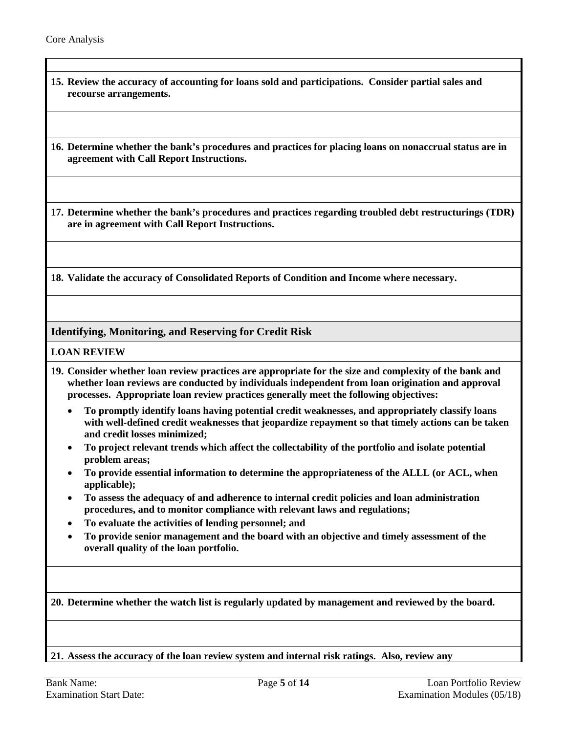- **15. Review the accuracy of accounting for loans sold and participations. Consider partial sales and recourse arrangements.**
- **16. Determine whether the bank's procedures and practices for placing loans on nonaccrual status are in agreement with Call Report Instructions.**

**17. Determine whether the bank's procedures and practices regarding troubled debt restructurings (TDR) are in agreement with Call Report Instructions.**

**18. Validate the accuracy of Consolidated Reports of Condition and Income where necessary.**

**Identifying, Monitoring, and Reserving for Credit Risk**

#### **LOAN REVIEW**

- <span id="page-4-0"></span>**19. Consider whether loan review practices are appropriate for the size and complexity of the bank and whether loan reviews are conducted by individuals independent from loan origination and approval processes. Appropriate loan review practices generally meet the following objectives:**
	- **To promptly identify loans having potential credit weaknesses, and appropriately classify loans with well-defined credit weaknesses that jeopardize repayment so that timely actions can be taken and credit losses minimized;**
	- **To project relevant trends which affect the collectability of the portfolio and isolate potential problem areas;**
	- **To provide essential information to determine the appropriateness of the ALLL (or ACL, when applicable);**
	- **To assess the adequacy of and adherence to internal credit policies and loan administration procedures, and to monitor compliance with relevant laws and regulations;**
	- **To evaluate the activities of lending personnel; and**
	- **To provide senior management and the board with an objective and timely assessment of the overall quality of the loan portfolio.**

**20. Determine whether the watch list is regularly updated by management and reviewed by the board.**

**21. Assess the accuracy of the loan review system and internal risk ratings. Also, review any**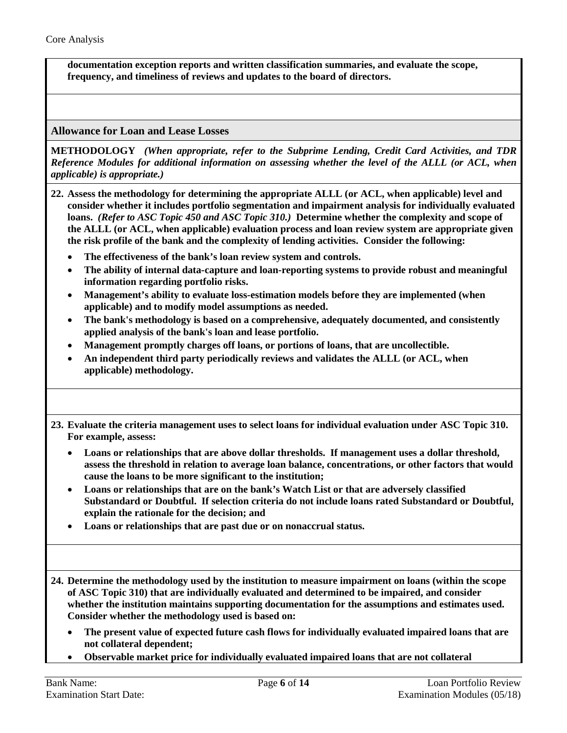**documentation exception reports and written classification summaries, and evaluate the scope, frequency, and timeliness of reviews and updates to the board of directors.**

**Allowance for Loan and Lease Losses**

**METHODOLOGY** *(When appropriate, refer to the Subprime Lending, Credit Card Activities, and TDR Reference Modules for additional information on assessing whether the level of the ALLL (or ACL, when applicable) is appropriate.)*

- **22. Assess the methodology for determining the appropriate ALLL (or ACL, when applicable) level and consider whether it includes portfolio segmentation and impairment analysis for individually evaluated loans.** *(Refer to ASC Topic 450 and ASC Topic 310.)* **Determine whether the complexity and scope of the ALLL (or ACL, when applicable) evaluation process and loan review system are appropriate given the risk profile of the bank and the complexity of lending activities. Consider the following:**
	- **The effectiveness of the bank's loan review system and controls.**
	- **The ability of internal data-capture and loan-reporting systems to provide robust and meaningful information regarding portfolio risks.**
	- **Management's ability to evaluate loss-estimation models before they are implemented (when applicable) and to modify model assumptions as needed.**
	- **The bank's methodology is based on a comprehensive, adequately documented, and consistently applied analysis of the bank's loan and lease portfolio.**
	- **Management promptly charges off loans, or portions of loans, that are uncollectible.**
	- **An independent third party periodically reviews and validates the ALLL (or ACL, when applicable) methodology.**

**23. Evaluate the criteria management uses to select loans for individual evaluation under ASC Topic 310. For example, assess:**

- **Loans or relationships that are above dollar thresholds. If management uses a dollar threshold, assess the threshold in relation to average loan balance, concentrations, or other factors that would cause the loans to be more significant to the institution;**
- **Loans or relationships that are on the bank's Watch List or that are adversely classified Substandard or Doubtful. If selection criteria do not include loans rated Substandard or Doubtful, explain the rationale for the decision; and**
- **Loans or relationships that are past due or on nonaccrual status.**

**24. Determine the methodology used by the institution to measure impairment on loans (within the scope of ASC Topic 310) that are individually evaluated and determined to be impaired, and consider whether the institution maintains supporting documentation for the assumptions and estimates used. Consider whether the methodology used is based on:**

- **The present value of expected future cash flows for individually evaluated impaired loans that are not collateral dependent;**
- **Observable market price for individually evaluated impaired loans that are not collateral**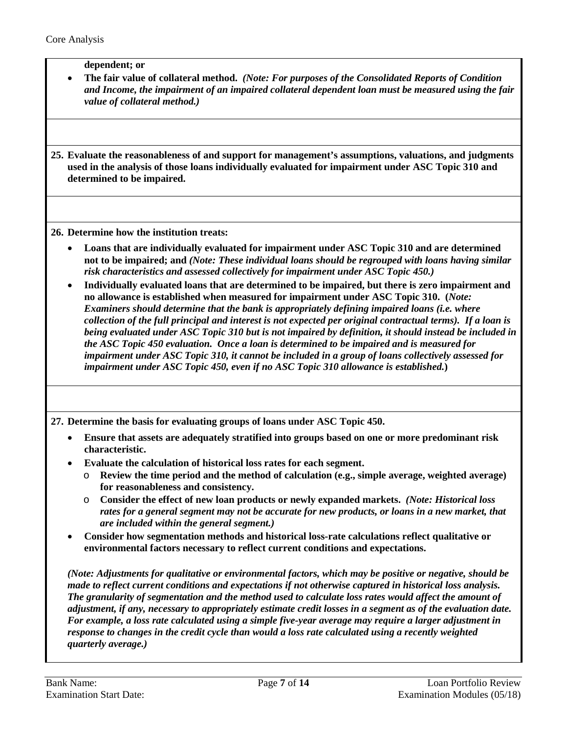**dependent; or**

• **The fair value of collateral method.** *(Note: For purposes of the Consolidated Reports of Condition and Income, the impairment of an impaired collateral dependent loan must be measured using the fair value of collateral method.)*

**25. Evaluate the reasonableness of and support for management's assumptions, valuations, and judgments used in the analysis of those loans individually evaluated for impairment under ASC Topic 310 and determined to be impaired.** 

**26. Determine how the institution treats:**

- **Loans that are individually evaluated for impairment under ASC Topic 310 and are determined not to be impaired; and** *(Note: These individual loans should be regrouped with loans having similar risk characteristics and assessed collectively for impairment under ASC Topic 450.)*
- **Individually evaluated loans that are determined to be impaired, but there is zero impairment and no allowance is established when measured for impairment under ASC Topic 310. (***Note: Examiners should determine that the bank is appropriately defining impaired loans (i.e. where collection of the full principal and interest is not expected per original contractual terms). If a loan is being evaluated under ASC Topic 310 but is not impaired by definition, it should instead be included in the ASC Topic 450 evaluation. Once a loan is determined to be impaired and is measured for impairment under ASC Topic 310, it cannot be included in a group of loans collectively assessed for impairment under ASC Topic 450, even if no ASC Topic 310 allowance is established.***)**

**27. Determine the basis for evaluating groups of loans under ASC Topic 450.** 

- **Ensure that assets are adequately stratified into groups based on one or more predominant risk characteristic.**
- **Evaluate the calculation of historical loss rates for each segment.**
	- o **Review the time period and the method of calculation (e.g., simple average, weighted average) for reasonableness and consistency.**
	- o **Consider the effect of new loan products or newly expanded markets.** *(Note: Historical loss rates for a general segment may not be accurate for new products, or loans in a new market, that are included within the general segment.)*
- **Consider how segmentation methods and historical loss-rate calculations reflect qualitative or environmental factors necessary to reflect current conditions and expectations.**

*(Note: Adjustments for qualitative or environmental factors, which may be positive or negative, should be made to reflect current conditions and expectations if not otherwise captured in historical loss analysis. The granularity of segmentation and the method used to calculate loss rates would affect the amount of adjustment, if any, necessary to appropriately estimate credit losses in a segment as of the evaluation date. For example, a loss rate calculated using a simple five-year average may require a larger adjustment in response to changes in the credit cycle than would a loss rate calculated using a recently weighted quarterly average.)*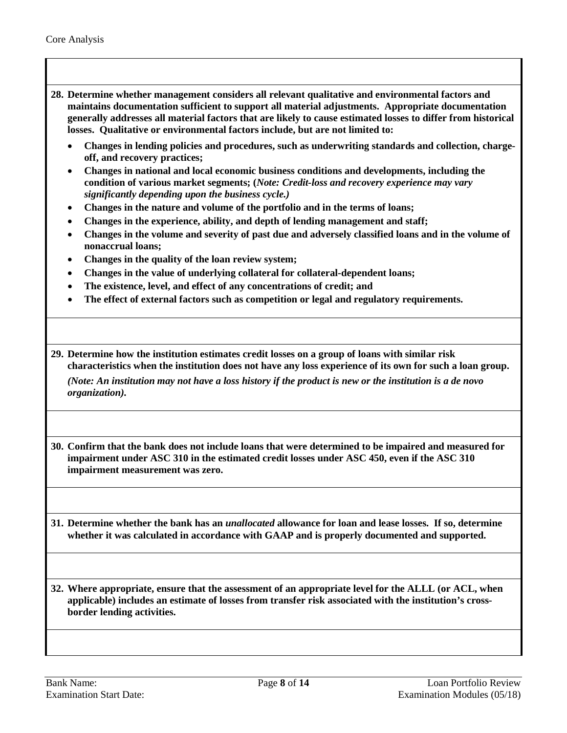**28. Determine whether management considers all relevant qualitative and environmental factors and maintains documentation sufficient to support all material adjustments. Appropriate documentation generally addresses all material factors that are likely to cause estimated losses to differ from historical losses. Qualitative or environmental factors include, but are not limited to:**

- **Changes in lending policies and procedures, such as underwriting standards and collection, chargeoff, and recovery practices;**
- **Changes in national and local economic business conditions and developments, including the condition of various market segments; (***Note: Credit-loss and recovery experience may vary significantly depending upon the business cycle.)*
- **Changes in the nature and volume of the portfolio and in the terms of loans;**
- **Changes in the experience, ability, and depth of lending management and staff;**
- **Changes in the volume and severity of past due and adversely classified loans and in the volume of nonaccrual loans;**
- **Changes in the quality of the loan review system;**
- **Changes in the value of underlying collateral for collateral-dependent loans;**
- **The existence, level, and effect of any concentrations of credit; and**
- **The effect of external factors such as competition or legal and regulatory requirements.**
- **29. Determine how the institution estimates credit losses on a group of loans with similar risk characteristics when the institution does not have any loss experience of its own for such a loan group.**

*(Note: An institution may not have a loss history if the product is new or the institution is a de novo organization).*

**30. Confirm that the bank does not include loans that were determined to be impaired and measured for impairment under ASC 310 in the estimated credit losses under ASC 450, even if the ASC 310 impairment measurement was zero.** 

**31. Determine whether the bank has an** *unallocated* **allowance for loan and lease losses. If so, determine whether it was calculated in accordance with GAAP and is properly documented and supported.**

**32. Where appropriate, ensure that the assessment of an appropriate level for the ALLL (or ACL, when applicable) includes an estimate of losses from transfer risk associated with the institution's crossborder lending activities.**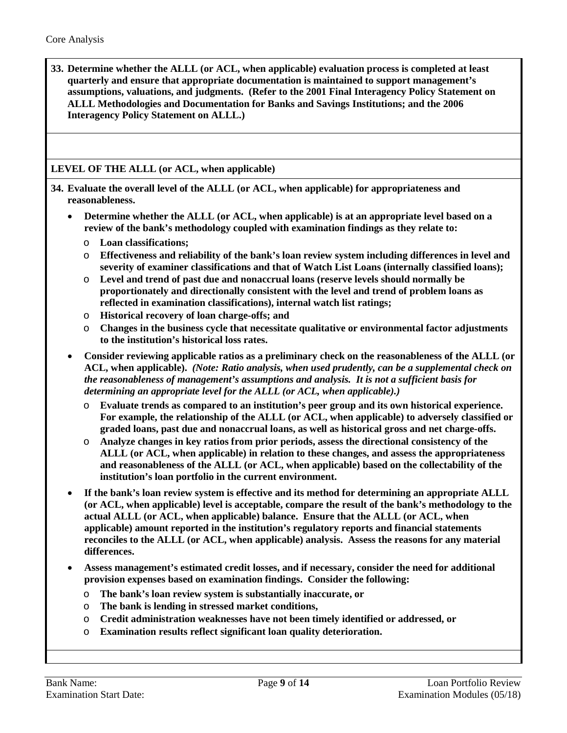**33. Determine whether the ALLL (or ACL, when applicable) evaluation process is completed at least quarterly and ensure that appropriate documentation is maintained to support management's assumptions, valuations, and judgments. (Refer to the 2001 Final Interagency Policy Statement on ALLL Methodologies and Documentation for Banks and Savings Institutions; and the 2006 Interagency Policy Statement on ALLL.)**

## **LEVEL OF THE ALLL (or ACL, when applicable)**

**34. Evaluate the overall level of the ALLL (or ACL, when applicable) for appropriateness and reasonableness.**

- **Determine whether the ALLL (or ACL, when applicable) is at an appropriate level based on a review of the bank's methodology coupled with examination findings as they relate to:**
	- o **Loan classifications;**
	- o **Effectiveness and reliability of the bank's loan review system including differences in level and severity of examiner classifications and that of Watch List Loans (internally classified loans);**
	- o **Level and trend of past due and nonaccrual loans (reserve levels should normally be proportionately and directionally consistent with the level and trend of problem loans as reflected in examination classifications), internal watch list ratings;**
	- o **Historical recovery of loan charge-offs; and**
	- o **Changes in the business cycle that necessitate qualitative or environmental factor adjustments to the institution's historical loss rates.**
- **Consider reviewing applicable ratios as a preliminary check on the reasonableness of the ALLL (or ACL, when applicable).** *(Note: Ratio analysis, when used prudently, can be a supplemental check on the reasonableness of management's assumptions and analysis. It is not a sufficient basis for determining an appropriate level for the ALLL (or ACL, when applicable).)*
	- o **Evaluate trends as compared to an institution's peer group and its own historical experience. For example, the relationship of the ALLL (or ACL, when applicable) to adversely classified or graded loans, past due and nonaccrual loans, as well as historical gross and net charge-offs.**
	- o **Analyze changes in key ratios from prior periods, assess the directional consistency of the ALLL (or ACL, when applicable) in relation to these changes, and assess the appropriateness and reasonableness of the ALLL (or ACL, when applicable) based on the collectability of the institution's loan portfolio in the current environment.**
- **If the bank's loan review system is effective and its method for determining an appropriate ALLL (or ACL, when applicable) level is acceptable, compare the result of the bank's methodology to the actual ALLL (or ACL, when applicable) balance. Ensure that the ALLL (or ACL, when applicable) amount reported in the institution's regulatory reports and financial statements reconciles to the ALLL (or ACL, when applicable) analysis. Assess the reasons for any material differences.**
- **Assess management's estimated credit losses, and if necessary, consider the need for additional provision expenses based on examination findings. Consider the following:**
	- o **The bank's loan review system is substantially inaccurate, or**
	- o **The bank is lending in stressed market conditions,**
	- o **Credit administration weaknesses have not been timely identified or addressed, or**
	- o **Examination results reflect significant loan quality deterioration.**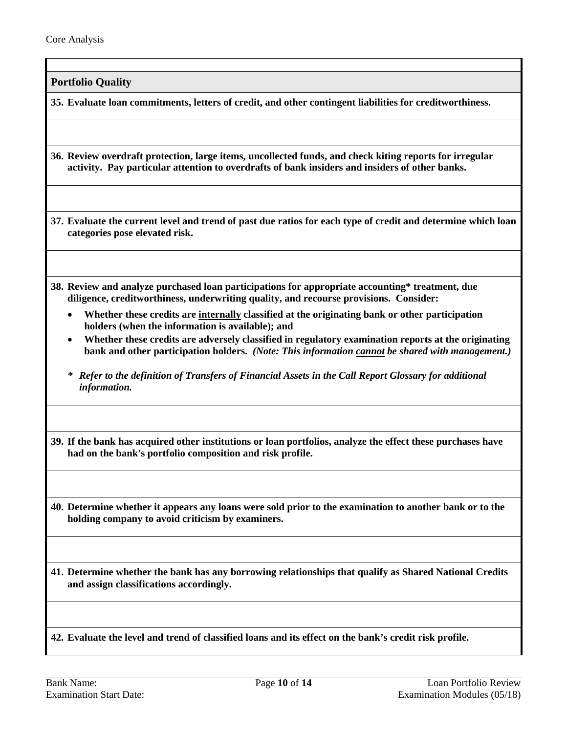**Portfolio Quality**

<span id="page-9-0"></span>**35. Evaluate loan commitments, letters of credit, and other contingent liabilities for creditworthiness.**

**36. Review overdraft protection, large items, uncollected funds, and check kiting reports for irregular activity. Pay particular attention to overdrafts of bank insiders and insiders of other banks.**

**37. Evaluate the current level and trend of past due ratios for each type of credit and determine which loan categories pose elevated risk.**

- **38. Review and analyze purchased loan participations for appropriate accounting\* treatment, due diligence, creditworthiness, underwriting quality, and recourse provisions. Consider:** 
	- **Whether these credits are internally classified at the originating bank or other participation holders (when the information is available); and**
	- **Whether these credits are adversely classified in regulatory examination reports at the originating bank and other participation holders.** *(Note: This information cannot be shared with management.)*
	- *\* Refer to the definition of Transfers of Financial Assets in the Call Report Glossary for additional information.*

**39. If the bank has acquired other institutions or loan portfolios, analyze the effect these purchases have had on the bank's portfolio composition and risk profile.**

**40. Determine whether it appears any loans were sold prior to the examination to another bank or to the holding company to avoid criticism by examiners.** 

**41. Determine whether the bank has any borrowing relationships that qualify as Shared National Credits and assign classifications accordingly.**

**42. Evaluate the level and trend of classified loans and its effect on the bank's credit risk profile.**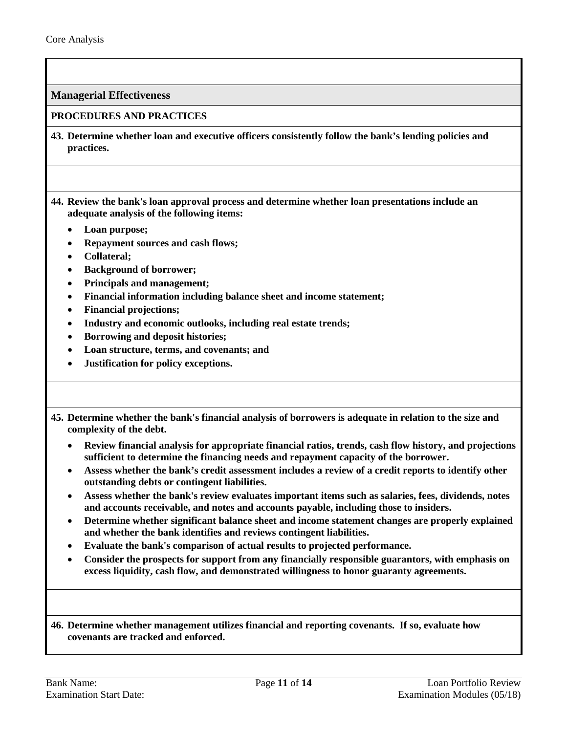**Managerial Effectiveness**

#### **PROCEDURES AND PRACTICES**

- <span id="page-10-0"></span>**43. Determine whether loan and executive officers consistently follow the bank's lending policies and practices.**
- **44. Review the bank's loan approval process and determine whether loan presentations include an adequate analysis of the following items:**
	- **Loan purpose;**
	- **Repayment sources and cash flows;**
	- **Collateral;**
	- **Background of borrower;**
	- **Principals and management;**
	- **Financial information including balance sheet and income statement;**
	- **Financial projections;**
	- **Industry and economic outlooks, including real estate trends;**
	- **Borrowing and deposit histories;**
	- **Loan structure, terms, and covenants; and**
	- **Justification for policy exceptions.**
- **45. Determine whether the bank's financial analysis of borrowers is adequate in relation to the size and complexity of the debt.**
	- **Review financial analysis for appropriate financial ratios, trends, cash flow history, and projections sufficient to determine the financing needs and repayment capacity of the borrower.**
	- **Assess whether the bank's credit assessment includes a review of a credit reports to identify other outstanding debts or contingent liabilities.**
	- **Assess whether the bank's review evaluates important items such as salaries, fees, dividends, notes and accounts receivable, and notes and accounts payable, including those to insiders.**
	- **Determine whether significant balance sheet and income statement changes are properly explained and whether the bank identifies and reviews contingent liabilities.**
	- **Evaluate the bank's comparison of actual results to projected performance.**
	- **Consider the prospects for support from any financially responsible guarantors, with emphasis on excess liquidity, cash flow, and demonstrated willingness to honor guaranty agreements.**

**46. Determine whether management utilizes financial and reporting covenants. If so, evaluate how covenants are tracked and enforced.**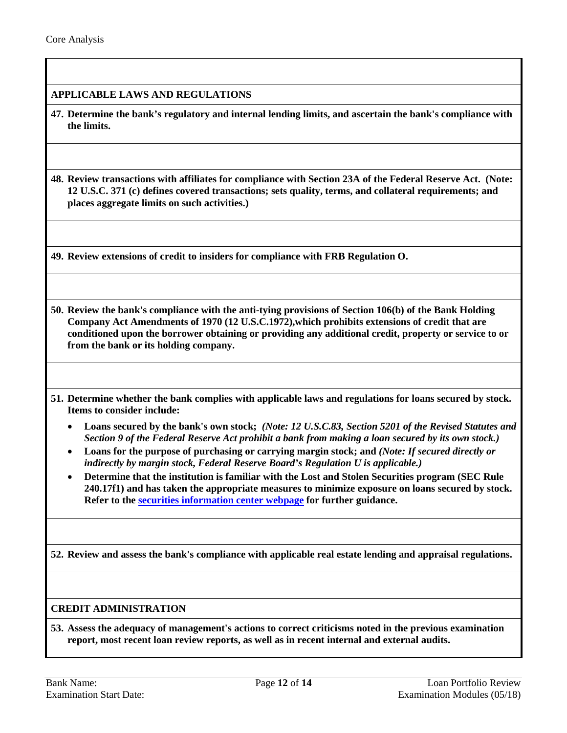## **APPLICABLE LAWS AND REGULATIONS**

**47. Determine the bank's regulatory and internal lending limits, and ascertain the bank's compliance with the limits.**

**48. Review transactions with affiliates for compliance with Section 23A of the Federal Reserve Act. (Note: 12 U.S.C. 371 (c) defines covered transactions; sets quality, terms, and collateral requirements; and places aggregate limits on such activities.)**

**49. Review extensions of credit to insiders for compliance with FRB Regulation O.**

**50. Review the bank's compliance with the anti-tying provisions of Section 106(b) of the Bank Holding Company Act Amendments of 1970 (12 U.S.C.1972),which prohibits extensions of credit that are conditioned upon the borrower obtaining or providing any additional credit, property or service to or from the bank or its holding company.**

**51. Determine whether the bank complies with applicable laws and regulations for loans secured by stock. Items to consider include:**

- **Loans secured by the bank's own stock;** *(Note: 12 U.S.C.83, Section 5201 of the Revised Statutes and Section 9 of the Federal Reserve Act prohibit a bank from making a loan secured by its own stock.)*
- **Loans for the purpose of purchasing or carrying margin stock; and** *(Note: If secured directly or indirectly by margin stock, Federal Reserve Board's Regulation U is applicable.)*
- **Determine that the institution is familiar with the Lost and Stolen Securities program (SEC Rule 240.17f1) and has taken the appropriate measures to minimize exposure on loans secured by stock. Refer to the [securities information center webpage](http://www.secic.com/) for further guidance.**

**52. Review and assess the bank's compliance with applicable real estate lending and appraisal regulations.**

#### **CREDIT ADMINISTRATION**

**53. Assess the adequacy of management's actions to correct criticisms noted in the previous examination report, most recent loan review reports, as well as in recent internal and external audits.**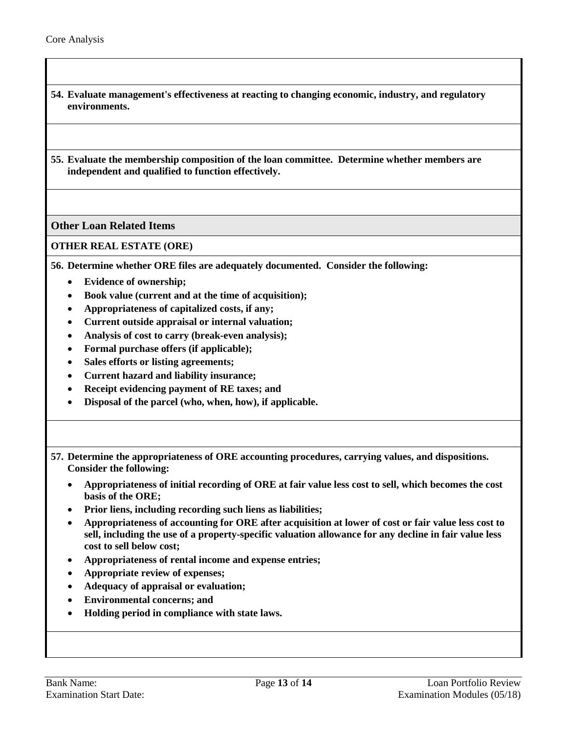- **54. Evaluate management's effectiveness at reacting to changing economic, industry, and regulatory environments.**
- **55. Evaluate the membership composition of the loan committee. Determine whether members are independent and qualified to function effectively.**

### **Other Loan Related Items**

## **OTHER REAL ESTATE (ORE)**

<span id="page-12-0"></span>**56. Determine whether ORE files are adequately documented. Consider the following:**

- **Evidence of ownership;**
- **Book value (current and at the time of acquisition);**
- **Appropriateness of capitalized costs, if any;**
- **Current outside appraisal or internal valuation;**
- **Analysis of cost to carry (break-even analysis);**
- **Formal purchase offers (if applicable);**
- **Sales efforts or listing agreements;**
- **Current hazard and liability insurance;**
- **Receipt evidencing payment of RE taxes; and**
- **Disposal of the parcel (who, when, how), if applicable.**
- **57. Determine the appropriateness of ORE accounting procedures, carrying values, and dispositions. Consider the following:**
	- **Appropriateness of initial recording of ORE at fair value less cost to sell, which becomes the cost basis of the ORE;**
	- **Prior liens, including recording such liens as liabilities;**
	- **Appropriateness of accounting for ORE after acquisition at lower of cost or fair value less cost to sell, including the use of a property-specific valuation allowance for any decline in fair value less cost to sell below cost;**
	- **Appropriateness of rental income and expense entries;**
	- **Appropriate review of expenses;**
	- **Adequacy of appraisal or evaluation;**
	- **Environmental concerns; and**
	- **Holding period in compliance with state laws.**